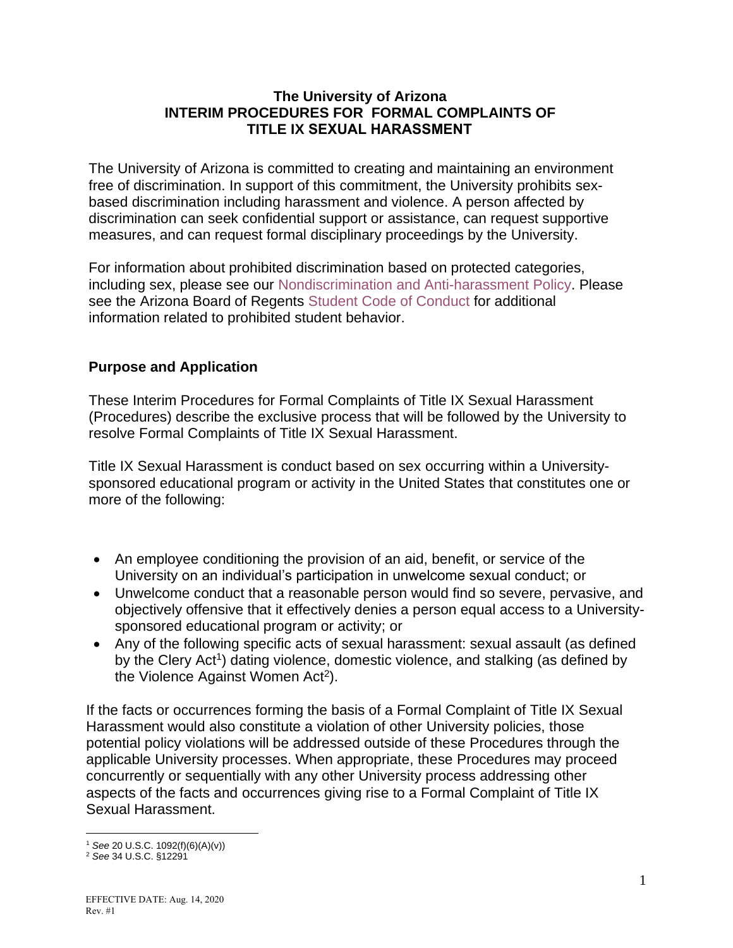#### **The University of Arizona INTERIM PROCEDURES FOR FORMAL COMPLAINTS OF TITLE IX SEXUAL HARASSMENT**

The University of Arizona is committed to creating and maintaining an environment free of discrimination. In support of this commitment, the University prohibits sexbased discrimination including harassment and violence. A person affected by discrimination can seek confidential support or assistance, can request supportive measures, and can request formal disciplinary proceedings by the University.

For information about prohibited discrimination based on protected categories, including sex, please see our [Nondiscrimination and Anti-harassment Policy.](https://policy.arizona.edu/human-resources/nondiscrimination-and-anti-harassment-policy) Please see the Arizona Board of Regents [Student Code of Conduct](https://www.google.com/url?sa=t&rct=j&q=&esrc=s&source=web&cd=&ved=2ahUKEwjf0uHWyNDrAhXQGTQIHWJpBfAQFjACegQIAxAB&url=https%3A%2F%2Fpublic.azregents.edu%2FPolicy%2520Manual%2F5-308-Student%2520Code%2520of%2520Conduct.pdf&usg=AOvVaw3uvbHQvp_-7kcDZHPh2iXD) for additional information related to prohibited student behavior.

# **Purpose and Application**

These Interim Procedures for Formal Complaints of Title IX Sexual Harassment (Procedures) describe the exclusive process that will be followed by the University to resolve Formal Complaints of Title IX Sexual Harassment.

Title IX Sexual Harassment is conduct based on sex occurring within a Universitysponsored educational program or activity in the United States that constitutes one or more of the following:

- An employee conditioning the provision of an aid, benefit, or service of the University on an individual's participation in unwelcome sexual conduct; or
- Unwelcome conduct that a reasonable person would find so severe, pervasive, and objectively offensive that it effectively denies a person equal access to a Universitysponsored educational program or activity; or
- Any of the following specific acts of sexual harassment: sexual assault (as defined by the Clery Act<sup>1</sup>) dating violence, domestic violence, and stalking (as defined by the Violence Against Women Act<sup>2</sup>).

If the facts or occurrences forming the basis of a Formal Complaint of Title IX Sexual Harassment would also constitute a violation of other University policies, those potential policy violations will be addressed outside of these Procedures through the applicable University processes. When appropriate, these Procedures may proceed concurrently or sequentially with any other University process addressing other aspects of the facts and occurrences giving rise to a Formal Complaint of Title IX Sexual Harassment.

<sup>1</sup> *See* 20 U.S.C. 1092(f)(6)(A)(v))

<sup>2</sup> *See* 34 U.S.C. §12291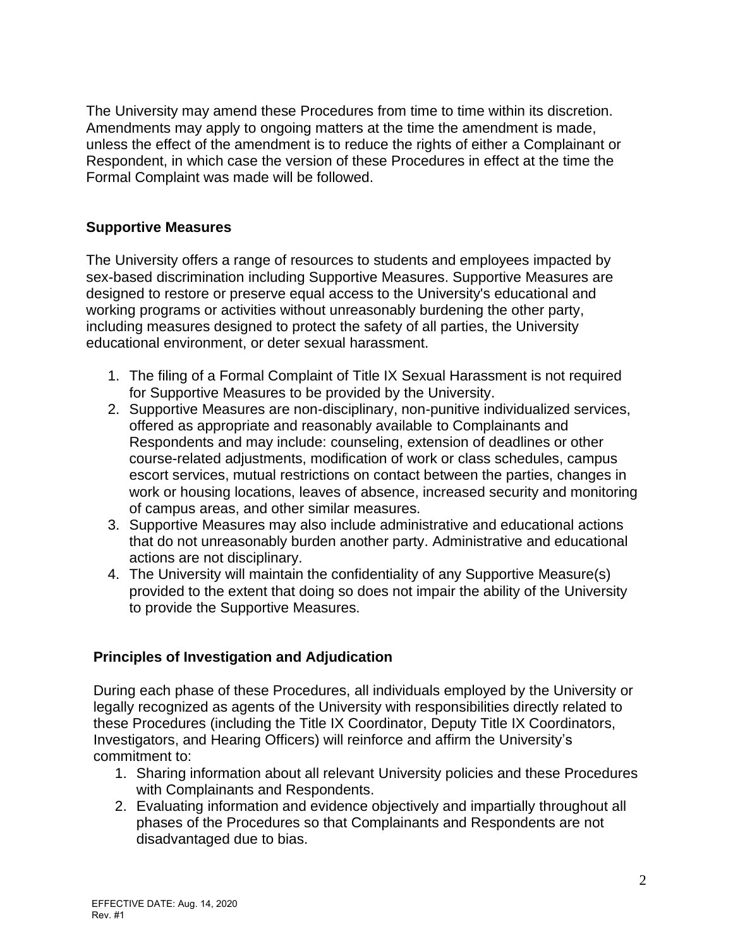The University may amend these Procedures from time to time within its discretion. Amendments may apply to ongoing matters at the time the amendment is made, unless the effect of the amendment is to reduce the rights of either a Complainant or Respondent, in which case the version of these Procedures in effect at the time the Formal Complaint was made will be followed.

### **Supportive Measures**

The University offers a range of resources to students and employees impacted by sex-based discrimination including Supportive Measures. Supportive Measures are designed to restore or preserve equal access to the University's educational and working programs or activities without unreasonably burdening the other party, including measures designed to protect the safety of all parties, the University educational environment, or deter sexual harassment.

- 1. The filing of a Formal Complaint of Title IX Sexual Harassment is not required for Supportive Measures to be provided by the University.
- 2. Supportive Measures are non-disciplinary, non-punitive individualized services, offered as appropriate and reasonably available to Complainants and Respondents and may include: counseling, extension of deadlines or other course-related adjustments, modification of work or class schedules, campus escort services, mutual restrictions on contact between the parties, changes in work or housing locations, leaves of absence, increased security and monitoring of campus areas, and other similar measures.
- 3. Supportive Measures may also include administrative and educational actions that do not unreasonably burden another party. Administrative and educational actions are not disciplinary.
- 4. The University will maintain the confidentiality of any Supportive Measure(s) provided to the extent that doing so does not impair the ability of the University to provide the Supportive Measures.

# **Principles of Investigation and Adjudication**

During each phase of these Procedures, all individuals employed by the University or legally recognized as agents of the University with responsibilities directly related to these Procedures (including the Title IX Coordinator, Deputy Title IX Coordinators, Investigators, and Hearing Officers) will reinforce and affirm the University's commitment to:

- 1. Sharing information about all relevant University policies and these Procedures with Complainants and Respondents.
- 2. Evaluating information and evidence objectively and impartially throughout all phases of the Procedures so that Complainants and Respondents are not disadvantaged due to bias.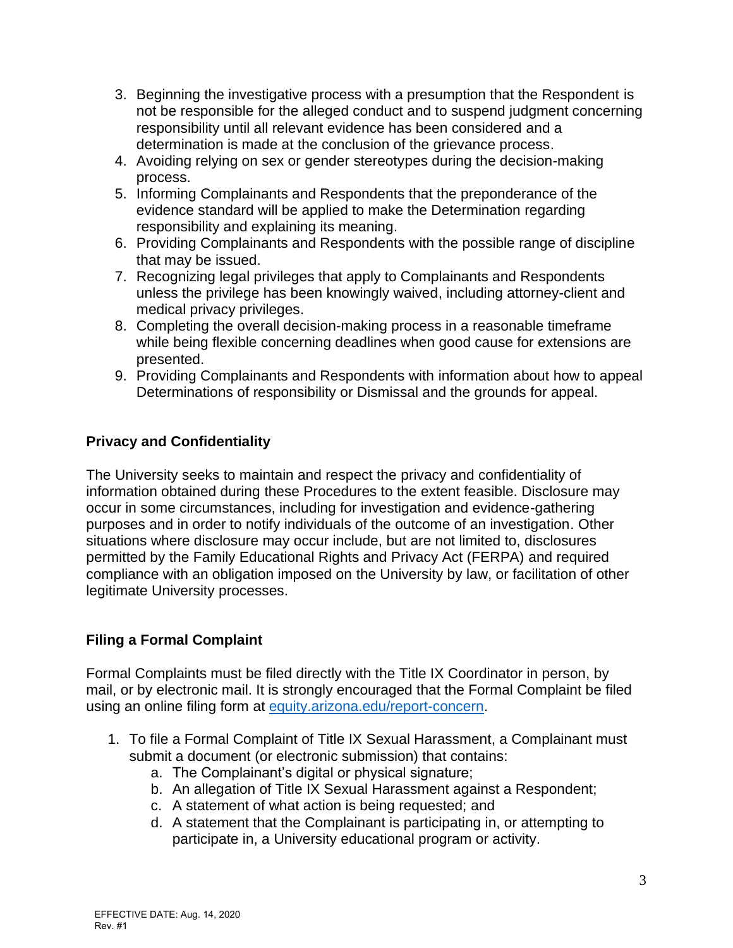- 3. Beginning the investigative process with a presumption that the Respondent is not be responsible for the alleged conduct and to suspend judgment concerning responsibility until all relevant evidence has been considered and a determination is made at the conclusion of the grievance process.
- 4. Avoiding relying on sex or gender stereotypes during the decision-making process.
- 5. Informing Complainants and Respondents that the preponderance of the evidence standard will be applied to make the Determination regarding responsibility and explaining its meaning.
- 6. Providing Complainants and Respondents with the possible range of discipline that may be issued.
- 7. Recognizing legal privileges that apply to Complainants and Respondents unless the privilege has been knowingly waived, including attorney-client and medical privacy privileges.
- 8. Completing the overall decision-making process in a reasonable timeframe while being flexible concerning deadlines when good cause for extensions are presented.
- 9. Providing Complainants and Respondents with information about how to appeal Determinations of responsibility or Dismissal and the grounds for appeal.

# **Privacy and Confidentiality**

The University seeks to maintain and respect the privacy and confidentiality of information obtained during these Procedures to the extent feasible. Disclosure may occur in some circumstances, including for investigation and evidence-gathering purposes and in order to notify individuals of the outcome of an investigation. Other situations where disclosure may occur include, but are not limited to, disclosures permitted by the Family Educational Rights and Privacy Act (FERPA) and required compliance with an obligation imposed on the University by law, or facilitation of other legitimate University processes.

# **Filing a Formal Complaint**

Formal Complaints must be filed directly with the Title IX Coordinator in person, by mail, or by electronic mail. It is strongly encouraged that the Formal Complaint be filed using an online filing form at [equity.arizona.edu/report-concern.](https://equity.arizona.edu/report-concern)

- 1. To file a Formal Complaint of Title IX Sexual Harassment, a Complainant must submit a document (or electronic submission) that contains:
	- a. The Complainant's digital or physical signature;
	- b. An allegation of Title IX Sexual Harassment against a Respondent;
	- c. A statement of what action is being requested; and
	- d. A statement that the Complainant is participating in, or attempting to participate in, a University educational program or activity.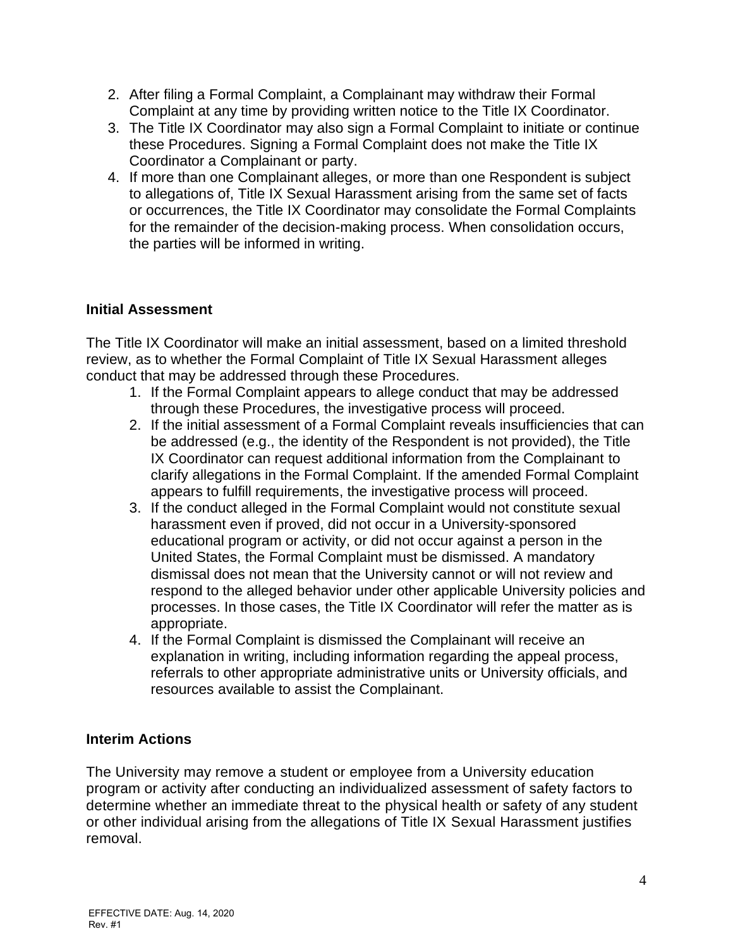- 2. After filing a Formal Complaint, a Complainant may withdraw their Formal Complaint at any time by providing written notice to the Title IX Coordinator.
- 3. The Title IX Coordinator may also sign a Formal Complaint to initiate or continue these Procedures. Signing a Formal Complaint does not make the Title IX Coordinator a Complainant or party.
- 4. If more than one Complainant alleges, or more than one Respondent is subject to allegations of, Title IX Sexual Harassment arising from the same set of facts or occurrences, the Title IX Coordinator may consolidate the Formal Complaints for the remainder of the decision-making process. When consolidation occurs, the parties will be informed in writing.

# **Initial Assessment**

The Title IX Coordinator will make an initial assessment, based on a limited threshold review, as to whether the Formal Complaint of Title IX Sexual Harassment alleges conduct that may be addressed through these Procedures.

- 1. If the Formal Complaint appears to allege conduct that may be addressed through these Procedures, the investigative process will proceed.
- 2. If the initial assessment of a Formal Complaint reveals insufficiencies that can be addressed (e.g., the identity of the Respondent is not provided), the Title IX Coordinator can request additional information from the Complainant to clarify allegations in the Formal Complaint. If the amended Formal Complaint appears to fulfill requirements, the investigative process will proceed.
- 3. If the conduct alleged in the Formal Complaint would not constitute sexual harassment even if proved, did not occur in a University-sponsored educational program or activity, or did not occur against a person in the United States, the Formal Complaint must be dismissed. A mandatory dismissal does not mean that the University cannot or will not review and respond to the alleged behavior under other applicable University policies and processes. In those cases, the Title IX Coordinator will refer the matter as is appropriate.
- 4. If the Formal Complaint is dismissed the Complainant will receive an explanation in writing, including information regarding the appeal process, referrals to other appropriate administrative units or University officials, and resources available to assist the Complainant.

# **Interim Actions**

The University may remove a student or employee from a University education program or activity after conducting an individualized assessment of safety factors to determine whether an immediate threat to the physical health or safety of any student or other individual arising from the allegations of Title IX Sexual Harassment justifies removal.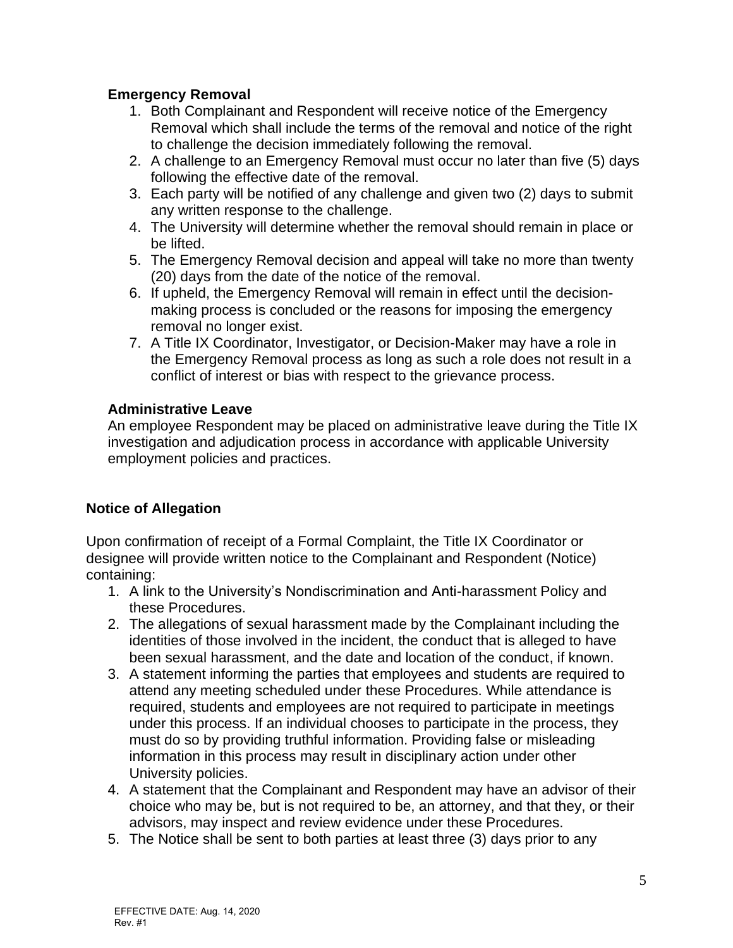# **Emergency Removal**

- 1. Both Complainant and Respondent will receive notice of the Emergency Removal which shall include the terms of the removal and notice of the right to challenge the decision immediately following the removal.
- 2. A challenge to an Emergency Removal must occur no later than five (5) days following the effective date of the removal.
- 3. Each party will be notified of any challenge and given two (2) days to submit any written response to the challenge.
- 4. The University will determine whether the removal should remain in place or be lifted.
- 5. The Emergency Removal decision and appeal will take no more than twenty (20) days from the date of the notice of the removal.
- 6. If upheld, the Emergency Removal will remain in effect until the decisionmaking process is concluded or the reasons for imposing the emergency removal no longer exist.
- 7. A Title IX Coordinator, Investigator, or Decision-Maker may have a role in the Emergency Removal process as long as such a role does not result in a conflict of interest or bias with respect to the grievance process.

# **Administrative Leave**

An employee Respondent may be placed on administrative leave during the Title IX investigation and adjudication process in accordance with applicable University employment policies and practices.

# **Notice of Allegation**

Upon confirmation of receipt of a Formal Complaint, the Title IX Coordinator or designee will provide written notice to the Complainant and Respondent (Notice) containing:

- 1. A link to the University's Nondiscrimination and Anti-harassment Policy and these Procedures.
- 2. The allegations of sexual harassment made by the Complainant including the identities of those involved in the incident, the conduct that is alleged to have been sexual harassment, and the date and location of the conduct, if known.
- 3. A statement informing the parties that employees and students are required to attend any meeting scheduled under these Procedures. While attendance is required, students and employees are not required to participate in meetings under this process. If an individual chooses to participate in the process, they must do so by providing truthful information. Providing false or misleading information in this process may result in disciplinary action under other University policies.
- 4. A statement that the Complainant and Respondent may have an advisor of their choice who may be, but is not required to be, an attorney, and that they, or their advisors, may inspect and review evidence under these Procedures.
- 5. The Notice shall be sent to both parties at least three (3) days prior to any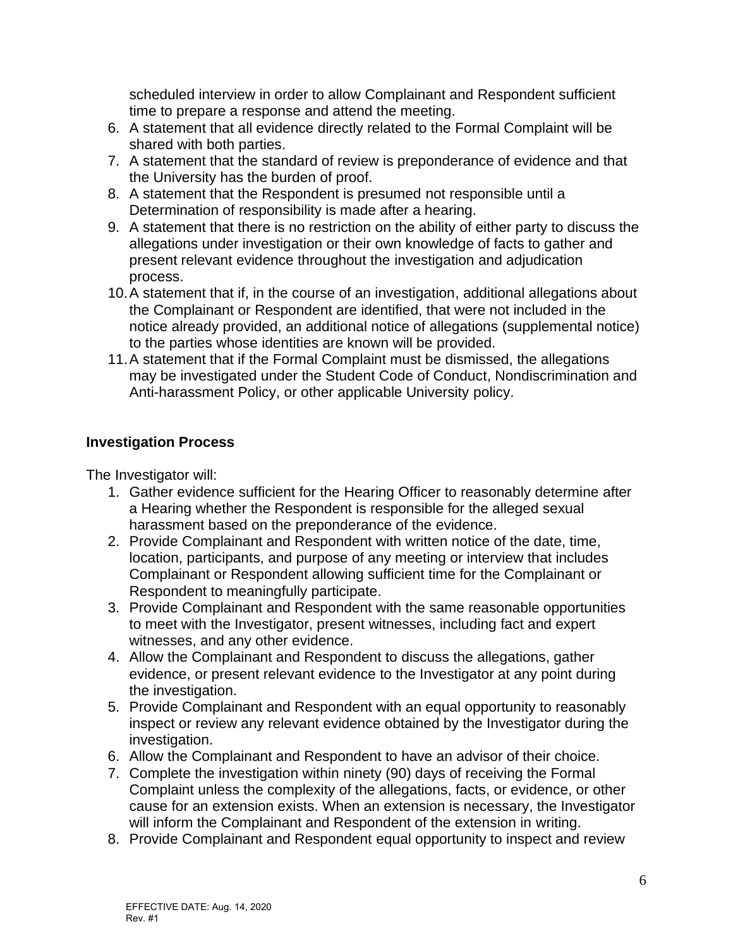scheduled interview in order to allow Complainant and Respondent sufficient time to prepare a response and attend the meeting.

- 6. A statement that all evidence directly related to the Formal Complaint will be shared with both parties.
- 7. A statement that the standard of review is preponderance of evidence and that the University has the burden of proof.
- 8. A statement that the Respondent is presumed not responsible until a Determination of responsibility is made after a hearing.
- 9. A statement that there is no restriction on the ability of either party to discuss the allegations under investigation or their own knowledge of facts to gather and present relevant evidence throughout the investigation and adjudication process.
- 10.A statement that if, in the course of an investigation, additional allegations about the Complainant or Respondent are identified, that were not included in the notice already provided, an additional notice of allegations (supplemental notice) to the parties whose identities are known will be provided.
- 11.A statement that if the Formal Complaint must be dismissed, the allegations may be investigated under the Student Code of Conduct, Nondiscrimination and Anti-harassment Policy, or other applicable University policy.

# **Investigation Process**

The Investigator will:

- 1. Gather evidence sufficient for the Hearing Officer to reasonably determine after a Hearing whether the Respondent is responsible for the alleged sexual harassment based on the preponderance of the evidence.
- 2. Provide Complainant and Respondent with written notice of the date, time, location, participants, and purpose of any meeting or interview that includes Complainant or Respondent allowing sufficient time for the Complainant or Respondent to meaningfully participate.
- 3. Provide Complainant and Respondent with the same reasonable opportunities to meet with the Investigator, present witnesses, including fact and expert witnesses, and any other evidence.
- 4. Allow the Complainant and Respondent to discuss the allegations, gather evidence, or present relevant evidence to the Investigator at any point during the investigation.
- 5. Provide Complainant and Respondent with an equal opportunity to reasonably inspect or review any relevant evidence obtained by the Investigator during the investigation.
- 6. Allow the Complainant and Respondent to have an advisor of their choice.
- 7. Complete the investigation within ninety (90) days of receiving the Formal Complaint unless the complexity of the allegations, facts, or evidence, or other cause for an extension exists. When an extension is necessary, the Investigator will inform the Complainant and Respondent of the extension in writing.
- 8. Provide Complainant and Respondent equal opportunity to inspect and review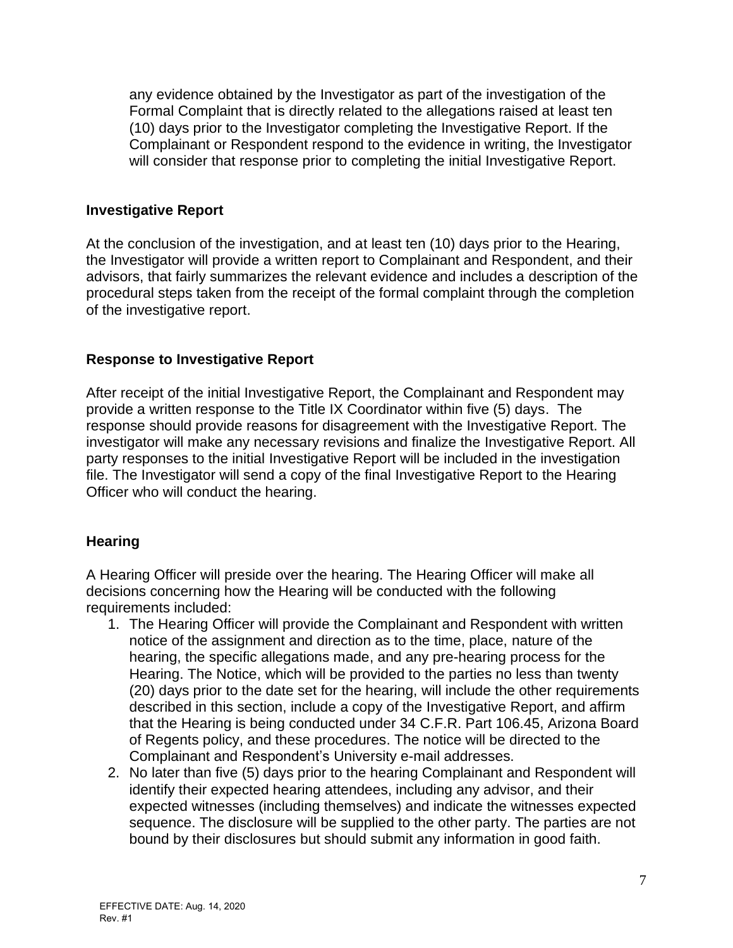any evidence obtained by the Investigator as part of the investigation of the Formal Complaint that is directly related to the allegations raised at least ten (10) days prior to the Investigator completing the Investigative Report. If the Complainant or Respondent respond to the evidence in writing, the Investigator will consider that response prior to completing the initial Investigative Report.

#### **Investigative Report**

At the conclusion of the investigation, and at least ten (10) days prior to the Hearing, the Investigator will provide a written report to Complainant and Respondent, and their advisors, that fairly summarizes the relevant evidence and includes a description of the procedural steps taken from the receipt of the formal complaint through the completion of the investigative report.

### **Response to Investigative Report**

After receipt of the initial Investigative Report, the Complainant and Respondent may provide a written response to the Title IX Coordinator within five (5) days. The response should provide reasons for disagreement with the Investigative Report. The investigator will make any necessary revisions and finalize the Investigative Report. All party responses to the initial Investigative Report will be included in the investigation file. The Investigator will send a copy of the final Investigative Report to the Hearing Officer who will conduct the hearing.

# **Hearing**

A Hearing Officer will preside over the hearing. The Hearing Officer will make all decisions concerning how the Hearing will be conducted with the following requirements included:

- 1. The Hearing Officer will provide the Complainant and Respondent with written notice of the assignment and direction as to the time, place, nature of the hearing, the specific allegations made, and any pre-hearing process for the Hearing. The Notice, which will be provided to the parties no less than twenty (20) days prior to the date set for the hearing, will include the other requirements described in this section, include a copy of the Investigative Report, and affirm that the Hearing is being conducted under 34 C.F.R. Part 106.45, Arizona Board of Regents policy, and these procedures. The notice will be directed to the Complainant and Respondent's University e-mail addresses.
- 2. No later than five (5) days prior to the hearing Complainant and Respondent will identify their expected hearing attendees, including any advisor, and their expected witnesses (including themselves) and indicate the witnesses expected sequence. The disclosure will be supplied to the other party. The parties are not bound by their disclosures but should submit any information in good faith.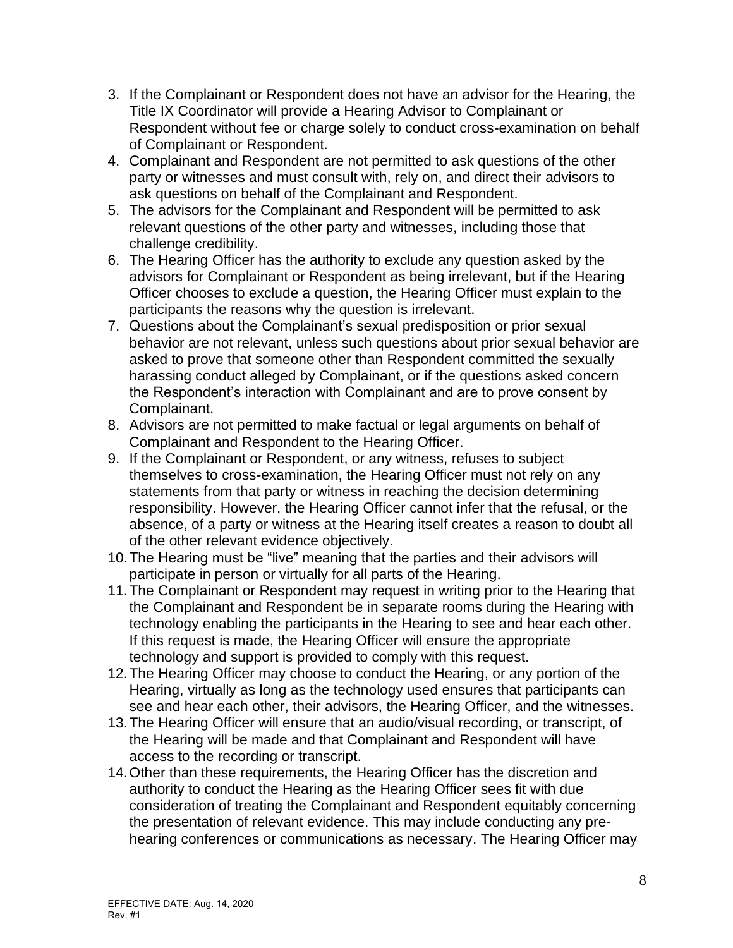- 3. If the Complainant or Respondent does not have an advisor for the Hearing, the Title IX Coordinator will provide a Hearing Advisor to Complainant or Respondent without fee or charge solely to conduct cross-examination on behalf of Complainant or Respondent.
- 4. Complainant and Respondent are not permitted to ask questions of the other party or witnesses and must consult with, rely on, and direct their advisors to ask questions on behalf of the Complainant and Respondent.
- 5. The advisors for the Complainant and Respondent will be permitted to ask relevant questions of the other party and witnesses, including those that challenge credibility.
- 6. The Hearing Officer has the authority to exclude any question asked by the advisors for Complainant or Respondent as being irrelevant, but if the Hearing Officer chooses to exclude a question, the Hearing Officer must explain to the participants the reasons why the question is irrelevant.
- 7. Questions about the Complainant's sexual predisposition or prior sexual behavior are not relevant, unless such questions about prior sexual behavior are asked to prove that someone other than Respondent committed the sexually harassing conduct alleged by Complainant, or if the questions asked concern the Respondent's interaction with Complainant and are to prove consent by Complainant.
- 8. Advisors are not permitted to make factual or legal arguments on behalf of Complainant and Respondent to the Hearing Officer.
- 9. If the Complainant or Respondent, or any witness, refuses to subject themselves to cross-examination, the Hearing Officer must not rely on any statements from that party or witness in reaching the decision determining responsibility. However, the Hearing Officer cannot infer that the refusal, or the absence, of a party or witness at the Hearing itself creates a reason to doubt all of the other relevant evidence objectively.
- 10.The Hearing must be "live" meaning that the parties and their advisors will participate in person or virtually for all parts of the Hearing.
- 11.The Complainant or Respondent may request in writing prior to the Hearing that the Complainant and Respondent be in separate rooms during the Hearing with technology enabling the participants in the Hearing to see and hear each other. If this request is made, the Hearing Officer will ensure the appropriate technology and support is provided to comply with this request.
- 12.The Hearing Officer may choose to conduct the Hearing, or any portion of the Hearing, virtually as long as the technology used ensures that participants can see and hear each other, their advisors, the Hearing Officer, and the witnesses.
- 13.The Hearing Officer will ensure that an audio/visual recording, or transcript, of the Hearing will be made and that Complainant and Respondent will have access to the recording or transcript.
- 14.Other than these requirements, the Hearing Officer has the discretion and authority to conduct the Hearing as the Hearing Officer sees fit with due consideration of treating the Complainant and Respondent equitably concerning the presentation of relevant evidence. This may include conducting any prehearing conferences or communications as necessary. The Hearing Officer may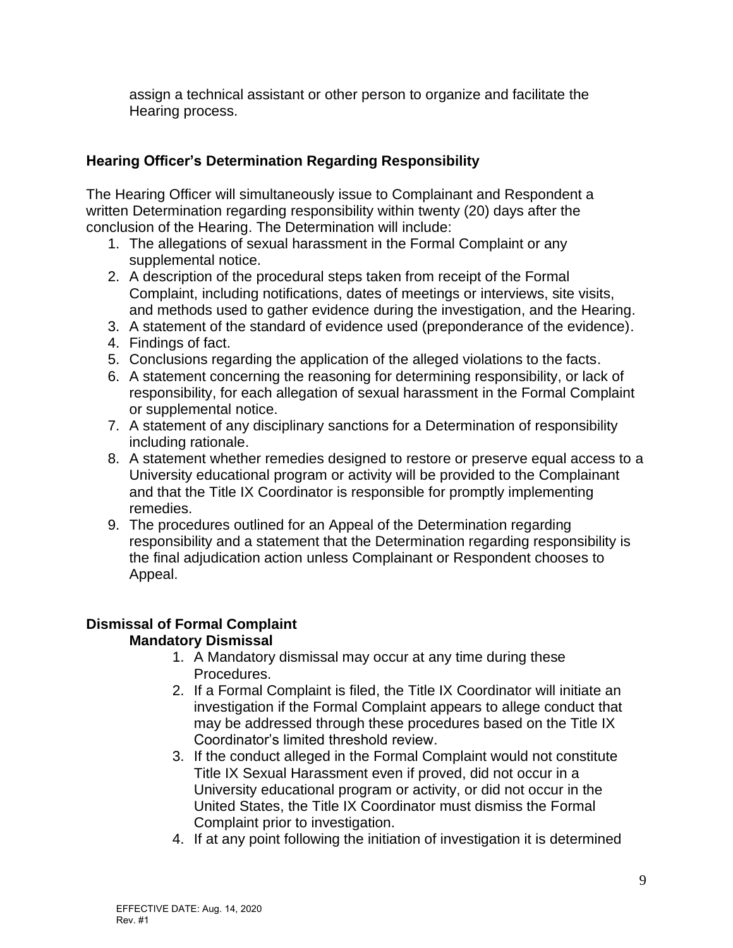assign a technical assistant or other person to organize and facilitate the Hearing process.

# **Hearing Officer's Determination Regarding Responsibility**

The Hearing Officer will simultaneously issue to Complainant and Respondent a written Determination regarding responsibility within twenty (20) days after the conclusion of the Hearing. The Determination will include:

- 1. The allegations of sexual harassment in the Formal Complaint or any supplemental notice.
- 2. A description of the procedural steps taken from receipt of the Formal Complaint, including notifications, dates of meetings or interviews, site visits, and methods used to gather evidence during the investigation, and the Hearing.
- 3. A statement of the standard of evidence used (preponderance of the evidence).
- 4. Findings of fact.
- 5. Conclusions regarding the application of the alleged violations to the facts.
- 6. A statement concerning the reasoning for determining responsibility, or lack of responsibility, for each allegation of sexual harassment in the Formal Complaint or supplemental notice.
- 7. A statement of any disciplinary sanctions for a Determination of responsibility including rationale.
- 8. A statement whether remedies designed to restore or preserve equal access to a University educational program or activity will be provided to the Complainant and that the Title IX Coordinator is responsible for promptly implementing remedies.
- 9. The procedures outlined for an Appeal of the Determination regarding responsibility and a statement that the Determination regarding responsibility is the final adjudication action unless Complainant or Respondent chooses to Appeal.

#### **Dismissal of Formal Complaint Mandatory Dismissal**

- 1. A Mandatory dismissal may occur at any time during these Procedures.
- 2. If a Formal Complaint is filed, the Title IX Coordinator will initiate an investigation if the Formal Complaint appears to allege conduct that may be addressed through these procedures based on the Title IX Coordinator's limited threshold review.
- 3. If the conduct alleged in the Formal Complaint would not constitute Title IX Sexual Harassment even if proved, did not occur in a University educational program or activity, or did not occur in the United States, the Title IX Coordinator must dismiss the Formal Complaint prior to investigation.
- 4. If at any point following the initiation of investigation it is determined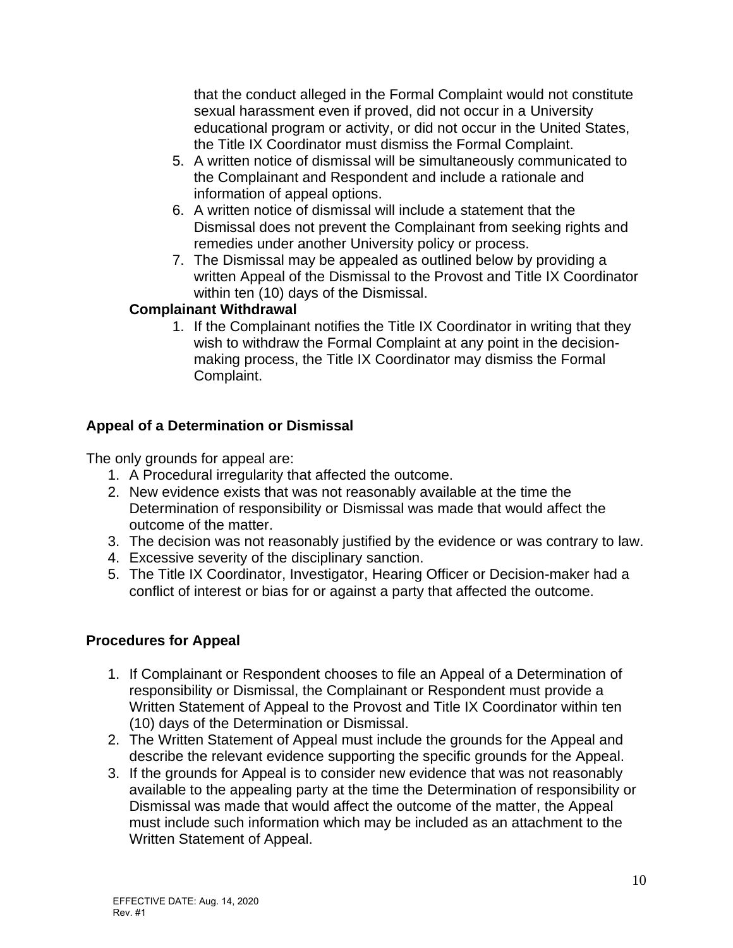that the conduct alleged in the Formal Complaint would not constitute sexual harassment even if proved, did not occur in a University educational program or activity, or did not occur in the United States, the Title IX Coordinator must dismiss the Formal Complaint.

- 5. A written notice of dismissal will be simultaneously communicated to the Complainant and Respondent and include a rationale and information of appeal options.
- 6. A written notice of dismissal will include a statement that the Dismissal does not prevent the Complainant from seeking rights and remedies under another University policy or process.
- 7. The Dismissal may be appealed as outlined below by providing a written Appeal of the Dismissal to the Provost and Title IX Coordinator within ten (10) days of the Dismissal.

# **Complainant Withdrawal**

1. If the Complainant notifies the Title IX Coordinator in writing that they wish to withdraw the Formal Complaint at any point in the decisionmaking process, the Title IX Coordinator may dismiss the Formal Complaint.

# **Appeal of a Determination or Dismissal**

The only grounds for appeal are:

- 1. A Procedural irregularity that affected the outcome.
- 2. New evidence exists that was not reasonably available at the time the Determination of responsibility or Dismissal was made that would affect the outcome of the matter.
- 3. The decision was not reasonably justified by the evidence or was contrary to law.
- 4. Excessive severity of the disciplinary sanction.
- 5. The Title IX Coordinator, Investigator, Hearing Officer or Decision-maker had a conflict of interest or bias for or against a party that affected the outcome.

# **Procedures for Appeal**

- 1. If Complainant or Respondent chooses to file an Appeal of a Determination of responsibility or Dismissal, the Complainant or Respondent must provide a Written Statement of Appeal to the Provost and Title IX Coordinator within ten (10) days of the Determination or Dismissal.
- 2. The Written Statement of Appeal must include the grounds for the Appeal and describe the relevant evidence supporting the specific grounds for the Appeal.
- 3. If the grounds for Appeal is to consider new evidence that was not reasonably available to the appealing party at the time the Determination of responsibility or Dismissal was made that would affect the outcome of the matter, the Appeal must include such information which may be included as an attachment to the Written Statement of Appeal.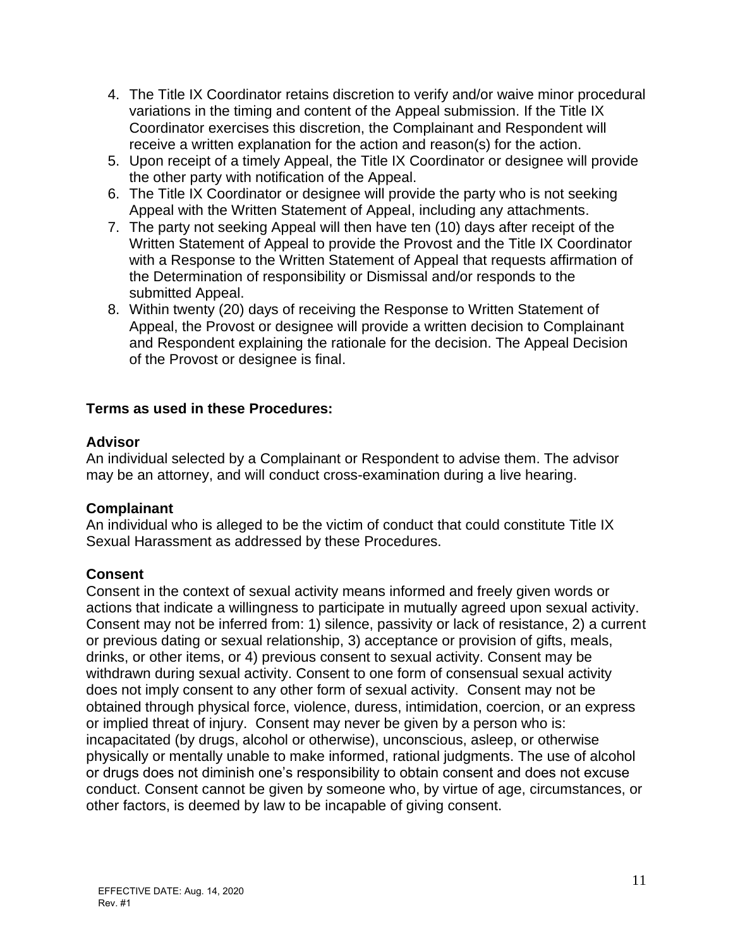- 4. The Title IX Coordinator retains discretion to verify and/or waive minor procedural variations in the timing and content of the Appeal submission. If the Title IX Coordinator exercises this discretion, the Complainant and Respondent will receive a written explanation for the action and reason(s) for the action.
- 5. Upon receipt of a timely Appeal, the Title IX Coordinator or designee will provide the other party with notification of the Appeal.
- 6. The Title IX Coordinator or designee will provide the party who is not seeking Appeal with the Written Statement of Appeal, including any attachments.
- 7. The party not seeking Appeal will then have ten (10) days after receipt of the Written Statement of Appeal to provide the Provost and the Title IX Coordinator with a Response to the Written Statement of Appeal that requests affirmation of the Determination of responsibility or Dismissal and/or responds to the submitted Appeal.
- 8. Within twenty (20) days of receiving the Response to Written Statement of Appeal, the Provost or designee will provide a written decision to Complainant and Respondent explaining the rationale for the decision. The Appeal Decision of the Provost or designee is final.

### **Terms as used in these Procedures:**

### **Advisor**

An individual selected by a Complainant or Respondent to advise them. The advisor may be an attorney, and will conduct cross-examination during a live hearing.

# **Complainant**

An individual who is alleged to be the victim of conduct that could constitute Title IX Sexual Harassment as addressed by these Procedures.

# **Consent**

Consent in the context of sexual activity means informed and freely given words or actions that indicate a willingness to participate in mutually agreed upon sexual activity. Consent may not be inferred from: 1) silence, passivity or lack of resistance, 2) a current or previous dating or sexual relationship, 3) acceptance or provision of gifts, meals, drinks, or other items, or 4) previous consent to sexual activity. Consent may be withdrawn during sexual activity. Consent to one form of consensual sexual activity does not imply consent to any other form of sexual activity. Consent may not be obtained through physical force, violence, duress, intimidation, coercion, or an express or implied threat of injury. Consent may never be given by a person who is: incapacitated (by drugs, alcohol or otherwise), unconscious, asleep, or otherwise physically or mentally unable to make informed, rational judgments. The use of alcohol or drugs does not diminish one's responsibility to obtain consent and does not excuse conduct. Consent cannot be given by someone who, by virtue of age, circumstances, or other factors, is deemed by law to be incapable of giving consent.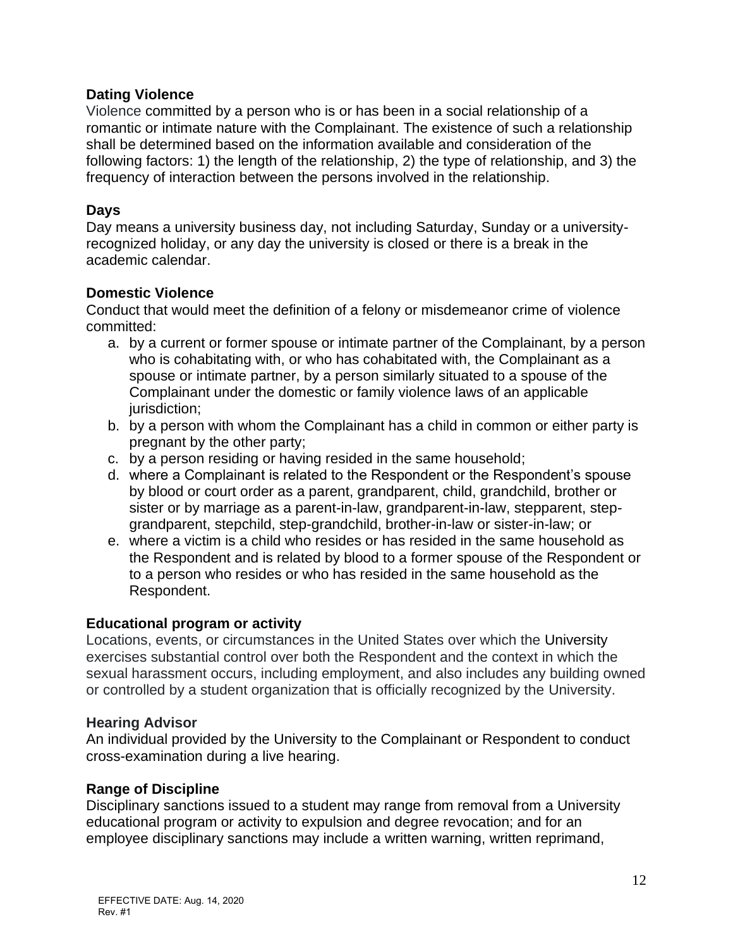#### **Dating Violence**

Violence committed by a person who is or has been in a social relationship of a romantic or intimate nature with the Complainant. The existence of such a relationship shall be determined based on the information available and consideration of the following factors: 1) the length of the relationship, 2) the type of relationship, and 3) the frequency of interaction between the persons involved in the relationship.

### **Days**

Day means a university business day, not including Saturday, Sunday or a universityrecognized holiday, or any day the university is closed or there is a break in the academic calendar.

### **Domestic Violence**

Conduct that would meet the definition of a felony or misdemeanor crime of violence committed:

- a. by a current or former spouse or intimate partner of the Complainant, by a person who is cohabitating with, or who has cohabitated with, the Complainant as a spouse or intimate partner, by a person similarly situated to a spouse of the Complainant under the domestic or family violence laws of an applicable jurisdiction;
- b. by a person with whom the Complainant has a child in common or either party is pregnant by the other party;
- c. by a person residing or having resided in the same household;
- d. where a Complainant is related to the Respondent or the Respondent's spouse by blood or court order as a parent, grandparent, child, grandchild, brother or sister or by marriage as a parent-in-law, grandparent-in-law, stepparent, stepgrandparent, stepchild, step-grandchild, brother-in-law or sister-in-law; or
- e. where a victim is a child who resides or has resided in the same household as the Respondent and is related by blood to a former spouse of the Respondent or to a person who resides or who has resided in the same household as the Respondent.

#### **Educational program or activity**

Locations, events, or circumstances in the United States over which the University exercises substantial control over both the Respondent and the context in which the sexual harassment occurs, including employment, and also includes any building owned or controlled by a student organization that is officially recognized by the University.

#### **Hearing Advisor**

An individual provided by the University to the Complainant or Respondent to conduct cross-examination during a live hearing.

#### **Range of Discipline**

Disciplinary sanctions issued to a student may range from removal from a University educational program or activity to expulsion and degree revocation; and for an employee disciplinary sanctions may include a written warning, written reprimand,